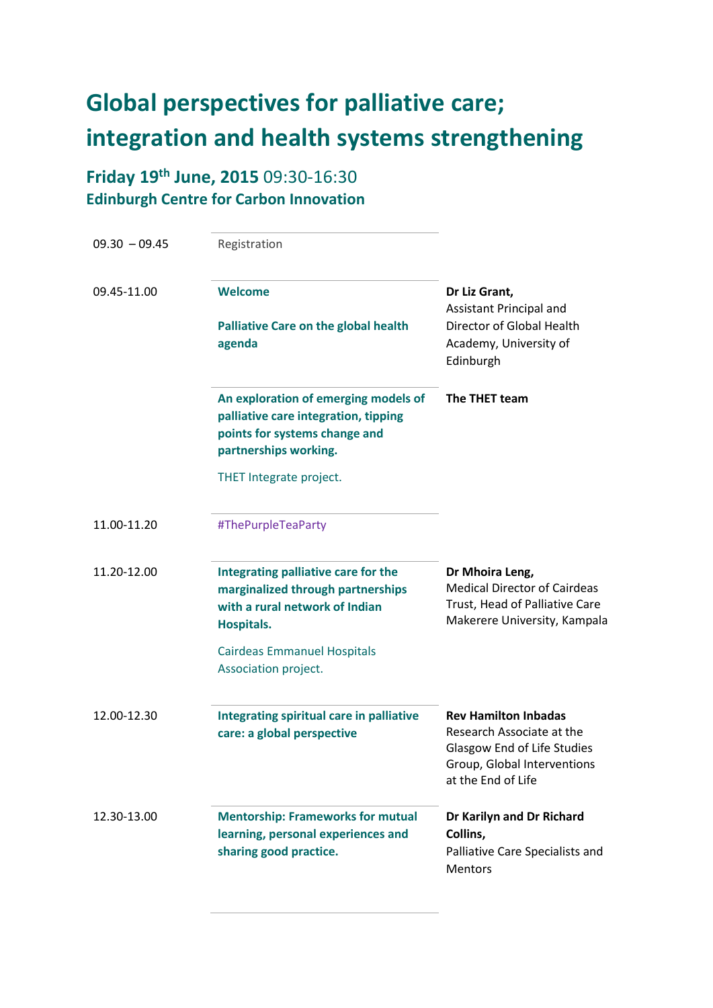## **Global perspectives for palliative care; integration and health systems strengthening**

## **Friday 19th June, 2015** 09:30-16:30 **Edinburgh Centre for Carbon Innovation**

| $09.30 - 09.45$ | Registration                                                                                                                           |                                                                                                                                              |
|-----------------|----------------------------------------------------------------------------------------------------------------------------------------|----------------------------------------------------------------------------------------------------------------------------------------------|
| 09.45-11.00     | Welcome<br><b>Palliative Care on the global health</b><br>agenda                                                                       | Dr Liz Grant,<br>Assistant Principal and<br>Director of Global Health<br>Academy, University of<br>Edinburgh                                 |
|                 | An exploration of emerging models of<br>palliative care integration, tipping<br>points for systems change and<br>partnerships working. | The THET team                                                                                                                                |
|                 | THET Integrate project.                                                                                                                |                                                                                                                                              |
| 11.00-11.20     | #ThePurpleTeaParty                                                                                                                     |                                                                                                                                              |
| 11.20-12.00     | Integrating palliative care for the<br>marginalized through partnerships<br>with a rural network of Indian<br><b>Hospitals.</b>        | Dr Mhoira Leng,<br><b>Medical Director of Cairdeas</b><br>Trust, Head of Palliative Care<br>Makerere University, Kampala                     |
|                 | <b>Cairdeas Emmanuel Hospitals</b><br>Association project.                                                                             |                                                                                                                                              |
| 12.00-12.30     | <b>Integrating spiritual care in palliative</b><br>care: a global perspective                                                          | <b>Rev Hamilton Inbadas</b><br>Research Associate at the<br>Glasgow End of Life Studies<br>Group, Global Interventions<br>at the End of Life |
| 12.30-13.00     | <b>Mentorship: Frameworks for mutual</b><br>learning, personal experiences and<br>sharing good practice.                               | Dr Karilyn and Dr Richard<br>Collins,<br>Palliative Care Specialists and<br><b>Mentors</b>                                                   |